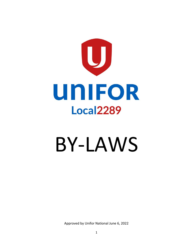

# BY-LAWS

Approved by Unifor National June 6, 2022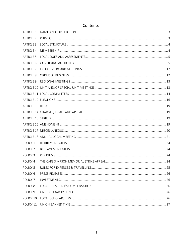| <b>ARTICLE 1</b>    |  |
|---------------------|--|
| <b>ARTICLE 2</b>    |  |
| <b>ARTICLE 3</b>    |  |
| <b>ARTICLE 4</b>    |  |
| <b>ARTICLE 5</b>    |  |
| <b>ARTICLE 6</b>    |  |
| <b>ARTICLE 7</b>    |  |
| <b>ARTICLE 8</b>    |  |
| <b>ARTICLE 9</b>    |  |
|                     |  |
|                     |  |
|                     |  |
|                     |  |
|                     |  |
|                     |  |
|                     |  |
|                     |  |
|                     |  |
| POLICY 1            |  |
| POLICY <sub>2</sub> |  |
| POLICY <sub>3</sub> |  |
| POLICY 4            |  |
| POLICY <sub>5</sub> |  |
| POLICY <sub>6</sub> |  |
| POLICY <sub>7</sub> |  |
| POLICY <sub>8</sub> |  |
| POLICY <sub>9</sub> |  |
| POLICY 10           |  |
| POLICY 11           |  |

# Contents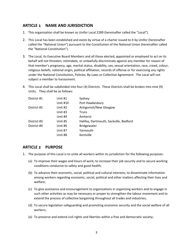## <span id="page-2-0"></span>**ARTICLE 1 NAME AND JURISDICTION**

- 1. This organization shall be known as Unifor Local 2289 (hereinafter called the "Local").
- 2. This Local has been established and exists by virtue of a charter issued to it by Unifor (hereinafter called the "National Union") pursuant to the Constitution of the National Union (hereinafter called the "National Constitution").
- 3. The Local, its Executive Board Members and all those elected, appointed or employed to act on its behalf will not threaten, intimidate, or unlawfully discriminate against any member for reason of that member's pregnancy, age, marital status, disability, sex, sexual orientation, race, creed, colour, religious beliefs, national origin, political affiliation, records of offense or for exercising any rights under the National Constitution, Policies, By-Laws or Collective Agreement. The Local will not subject a member to harassment.
- 4. This Local shall be subdivided into four (4) Districts. These Districts shall be broken into nine (9) Units. They shall be as follows:

| District #1 | Unit #1  | Sydney                                 |
|-------------|----------|----------------------------------------|
|             | Unit #10 | Port Hawkesbury                        |
| District #2 | Unit #2  | Antigonish/New Glasgow                 |
|             | Unit #3  | Truro                                  |
|             | Unit #4  | Amherst                                |
| District #3 | Unit #5  | Halifax, Dartmouth, Sackville, Bedford |
| District #4 | Unit #6  | <b>Bridgewater</b>                     |
|             | Unit #7  | Yarmouth                               |
|             | Unit #8  | Kentville                              |
|             |          |                                        |

## <span id="page-2-1"></span>**ARTICLE 2 PURPOSE**

- 1. The purpose of this Local is to unite all workers within its jurisdiction for the following purposes:
	- (a) To improve their wages and hours of work, to increase their job security and to secure working conditions conducive to safety and good health;
	- (b) To advance their economic, social, political and cultural interests; to disseminate information among workers regarding economic, social, political and other matters affecting their lives and welfare;
	- (c) To give assistance and encouragement to organizations in organizing workers and to engage in such other activities as may be necessary or proper to strengthen the labour movement and to extend the process of collective bargaining throughout all trades and industries;
	- (d) To secure legislation safeguarding and promoting economic security and the social welfare of all workers;
	- (e) To preserve and extend civil rights and liberties within a free and democratic society;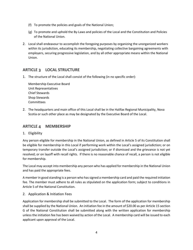- (f) To promote the policies and goals of the National Union;
- (g) To promote and uphold the By-Laws and policies of the Local and the Constitution and Policies of the National Union.
- 2. Local shall endeavour to accomplish the foregoing purposes by organizing the unorganized workers within its jurisdiction, educating its membership, negotiating collective bargaining agreements with employers, securing progressive legislation, and by all other appropriate means within the National Union.

## <span id="page-3-0"></span>**ARTICLE 3 LOCAL STRUCTURE**

1. The structure of the Local shall consist of the following (in no specific order):

Membership Executive Board Unit Representatives Chief Stewards Shop Stewards Committees

2. The headquarters and main office of this Local shall be in the Halifax Regional Municipality, Nova Scotia or such other place as may be designated by the Executive Board of the Local.

## <span id="page-3-1"></span>**ARTICLE 4 MEMBERSHIP**

1. Eligibility

Any person eligible for membership in the National Union, as defined in Article 5 of its Constitution shall be eligible for membership in this Local if performing work within the Local's assigned jurisdiction; or on temporary transfer outside the Local's assigned jurisdiction; or if dismissed and the grievance is not yet resolved; or on layoff with recall rights. If there is no reasonable chance of recall, a person is not eligible for membership.

The Local may accept into membership any person who has applied for membership in the National Union and has paid the appropriate fees.

A member in good standing is a person who has signed a membership card and paid the required initiation fee. The member must adhere to all rules as stipulated on the application form; subject to conditions in Article 5 of the National Constitution.

2. Application & Initiation Fees

Application for membership shall be submitted to the Local. The form of the application for membership shall be supplied by the National Union. An initiation fee in the amount of \$20.00 as per Article 15 section G of the National Constitution shall be submitted along with the written application for membership unless the initiation fee has been waived by action of the Local. A membership card will be issued to each applicant upon approval of the Local.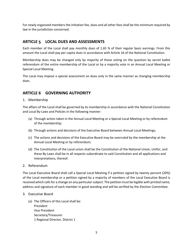For newly organized members the initiation fee, dues and all other fees shall be the minimum required by law in the jurisdiction concerned.

## <span id="page-4-0"></span>**ARTICLE 5 LOCAL DUES AND ASSESSMENTS**

Each member of the Local shall pay monthly dues of 1.65 % of their regular basic earnings. From this amount the Local shall pay per capita dues in accordance with Article 16 of the National Constitution.

Membership dues may be changed only by majority of those voting on the question by secret ballot referendum of the entire membership of the Local or by a majority vote in an Annual Local Meeting or Special Local Meeting.

The Local may impose a special assessment on dues only in the same manner as changing membership dues.

# <span id="page-4-1"></span>**ARTICLE 6 GOVERNING AUTHORITY**

#### 1. Membership

The affairs of the Local shall be governed by its membership in accordance with the National Constitution and Local By-Laws and Policies in the following manner:

- (a) Through action taken in the Annual Local Meeting or a Special Local Meeting or by referendum of the membership;
- (b) Through actions and decisions of the Executive Board between Annual Local Meetings;
- (c) The actions and decisions of the Executive Board may be overruled by the membership at the Annual Local Meeting or by referendum;
- (d) The Constitution of the Local union shall be the Constitution of the National Union, Unifor, and these By-Laws shall be in all respects subordinate to said Constitution and all applications and interpretations, thereof.
- 2. Referendum

The Local Executive Board shall call a Special Local Meeting if a petition signed by twenty percent (20%) of the Local membership or a petition signed by a majority of members of the Local Executive Board is received which calls for a change on any particular subject. The petition must be legible with printed name, address and signature of each member in good standing and will be verified by the Election Committee.

- 3. Executive Board
	- (a) The Officers of this Local shall be: President Vice President Secretary/Treasurer 1 Regional Director, District 1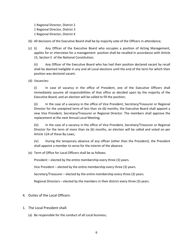1 Regional Director, District 2 1 Regional Director, District 3 1 Regional Director, District 4

(b) All decisions of the Executive Board shall be by majority vote of the Officers in attendance;

(c) (i) Any Officer of the Executive Board who occupies a position of Acting Management, applies for or interviews for a management position shall be recalled in accordance with Article 15, Section E of the National Constitution;

(ii) Any Officer of the Executive Board who has had their position declared vacant by recall shall be deemed ineligible in any and all Local elections until the end of the term for which their position was declared vacant.

(d) Vacancies:

(i) In case of vacancy in the office of President, one of the Executive Officers shall immediately assume all responsibilities of that office as decided upon by the majority of the Executive Board, and an election will be called to fill the position;

(ii) In the case of a vacancy in the office of Vice President, Secretary/Treasurer or Regional Director for the unexpired term of less than six (6) months, the Executive Board shall appoint a new Vice President, Secretary/Treasurer or Regional Director. The members shall approve the replacement at the next Annual Local Meeting;

(iii) In the case of a vacancy in the office of Vice President, Secretary/Treasurer or Regional Director for the term of more than six (6) months, an election will be called and voted on per Article 12A of these By-Laws;

(iv) During the temporary absence of any officer (other than the President), the President shall appoint a member to serve for the interim of the absence.

(e) Term of Office for Local Officers shall be as follows:

President – elected by the entire membership every three (3) years.

Vice President – elected by the entire membership every three (3) years.

Secretary/Treasurer – elected by the entire membership every three (3) years.

Regional Directors – elected by the members in their district every three (3) years.

- 4. Duties of the Local Officers:
- 1. The Local President shall:
	- (a) Be responsible for the conduct of all Local business;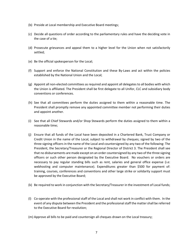- (b) Preside at Local membership and Executive Board meetings;
- (c) Decide all questions of order according to the parliamentary rules and have the deciding vote in the case of a tie;
- (d) Prosecute grievances and appeal them to a higher level for the Union when not satisfactorily settled;
- (e) Be the official spokesperson for the Local;
- (f) Support and enforce the National Constitution and these By-Laws and act within the policies established by the National Union and the Local;
- (g) Appoint all non-elected committees as required and appoint all delegates to all bodies with which the Union is affiliated. The President shall be first delegate to all Unifor, CLC and subsidiary body conventions or conferences.
- (h) See that all committees perform the duties assigned to them within a reasonable time. The President shall promptly remove any appointed committee member not performing their duties and appoint another.
- (i) See that all Chief Stewards and/or Shop Stewards perform the duties assigned to them within a reasonable time;
- (j) Ensure that all funds of the Local have been deposited in a Chartered Bank, Trust Company or Credit Union in the name of the Local, subject to withdrawal by cheques; signed by two of the three signing officers in the name of the Local and countersigned by any two of the following: The President, the Secretary/Treasurer or the Regional Director of District 3. The President shall see that no disbursements are made except on an order countersigned by any two of the three signing officers or such other person designated by the Executive Board. No vouchers or orders are necessary to pay regular standing bills such as rent, salaries and general office expense (i.e: webhosting and computer maintenance). Expenditures greater than \$500 for payment of: training, courses, conferences and conventions and other large strike or solidarity support must be approved by the Executive Board;
- (k) Be required to work in conjunction with the Secretary/Treasurer in the investment of Local funds;
- (l) Co-operate with the professional staff of the Local and shall not work in conflict with them. In the event of any dispute between the President and the professional staff the matter shall be referred to the Executive Board for resolution;
- (m) Approve all bills to be paid and countersign all cheques drawn on the Local treasury;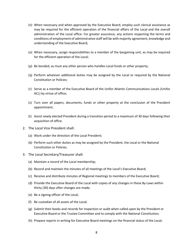- (n) When necessary and when approved by the Executive Board, employ such clerical assistance as may be required for the efficient operation of the financial affairs of the Local and the overall administration of the Local office. For greater assurance, any actions respecting the terms and conditions of employment of administrative staff will be with majority agreement, knowledge and understanding of the Executive Board;
- (o) When necessary, assign responsibilities to a member of the bargaining unit, as may be required for the efficient operation of the Local;
- (p) Be bonded, as must any other person who handles Local funds or other property;
- (q) Perform whatever additional duties may be assigned by the Local or required by the National Constitution or Policies;
- (r) Serve as a member of the Executive Board of the Unifor Atlantic Communications Locals (Unifor ACL) by virtue of office;
- (s) Turn over all papers, documents, funds or other property at the conclusion of the President appointment;
- (t) Assist newly elected President during a transition period to a maximum of 30 days following their acquisition of office.
- 2. The Local Vice President shall:
	- (a) Work under the direction of the Local President;
	- (b) Perform such other duties as may be assigned by the President, the Local or the National Constitution or Policies.
- 3. The Local Secretary/Treasurer shall:
	- (a) Maintain a record of the Local membership;
	- (b) Record and maintain the minutes of all meetings of the Local's Executive Board;
	- (c) Receive and distribute minutes of Regional meetings to members of the Executive Board;
	- (d) Provide the Executive Board of the Local with copies of any changes in these By-Laws within thirty (30) days after changes are made;
	- (e) Be a signing officer of the Local;
	- (f) Be custodian of all assets of the Local;
	- (g) Submit their books and records for inspection or audit when called upon by the President or Executive Board or the Trustee Committee and to comply with the National Constitution;
	- (h) Prepare reports in writing for Executive Board meetings on the financial status of the Local;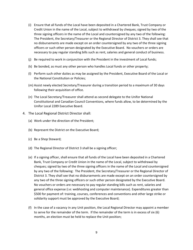- (i) Ensure that all funds of the Local have been deposited in a Chartered Bank, Trust Company or Credit Union in the name of the Local, subject to withdrawal by cheques; signed by two of the three signing officers in the name of the Local and countersigned by any two of the following: The President, the Secretary/Treasurer or the Regional Director of District 3. They shall see that no disbursements are made except on an order countersigned by any two of the three signing officers or such other person designated by the Executive Board. No vouchers or orders are necessary to pay regular standing bills such as rent, salaries and general conduct of business.
- (j) Be required to work in conjunction with the President in the investment of Local funds;
- (k) Be bonded, as must any other person who handles Local funds or other property;
- (l) Perform such other duties as may be assigned by the President, Executive Board of the Local or the National Constitution or Policies;
- (m) Assist newly elected Secretary/Treasurer during a transition period to a maximum of 30 days following their acquisition of office.
- (n) The Local Secretary/Treasurer shall attend as second delegate to the Unifor National Constitutional and Canadian Council Conventions, where funds allow, to be determined by the Unifor Local 2289 Executive Board.
- 4. The Local Regional District Director shall:
	- (a) Work under the direction of the President;
	- (b) Represent the District on the Executive Board;
	- (c) Be a Shop Steward;
	- (d) The Regional Director of District 3 shall be a signing officer;
	- (e) If a signing officer, shall ensure that all funds of the Local have been deposited in a Chartered Bank, Trust Company or Credit Union in the name of the Local, subject to withdrawal by cheques; signed by two of the three signing officers in the name of the Local and countersigned by any two of the following: The President, the Secretary/Treasurer or the Regional Director of District 3. They shall see that no disbursements are made except on an order countersigned by any two of the three signing officers or such other person designated by the Executive Board. No vouchers or orders are necessary to pay regular standing bills such as rent, salaries and general office expense (i.e: webhosting and computer maintenance). Expenditures greater than \$500 for payment of: training, courses, conferences and conventions and other large strike or solidarity support must be approved by the Executive Board;
	- (f) In the case of a vacancy in any Unit position, the Local Regional Director may appoint a member to serve for the remainder of the term. If the remainder of the term is in excess of six (6) months, an election must be held to replace the Unit position;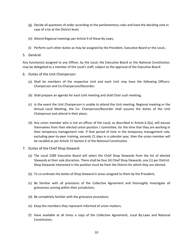- (g) Decide all questions of order according to the parliamentary rules and have the deciding vote in case of a tie at the District level;
- (h) Attend Regional meetings per Article 9 of these By-Laws;
- (i) Perform such other duties as may be assigned by the President, Executive Board or the Local.;
- 5. General:

Any function(s) assigned to any Officer, by the Local, the Executive Board or the National Constitution, may be delegated to a member of the Local's staff, subject to the approval of the Executive Board.

- 6. Duties of the Unit Chairperson:
	- (a) Shall be members of the respective Unit and each Unit may have the following Officers: Chairperson and Co-Chairperson/Recorder;
	- (b) Shall prepare an agenda for each Unit meeting and shall Chair such meeting;
	- (c) In the event the Unit Chairperson is unable to attend the Unit meeting, Regional meeting or the Annual Local Meeting, the Co- Chairperson/Recorder shall assume the duties of the Unit Chairperson and attend in their place;
	- (d) Any union member who is not an officer of the Local, as described in Article 6.3(a), will excuse themselves from their elected union position / committee, for the time that they are working in their temporary management role. If that period of time in the temporary management role, excluding peer-to-peer training, exceeds 21 days in a calendar year, then the union member will be recalled as per Article 15 Section E of the National Constitution.
- 7. Duties of the Chief Shop Steward:
	- (a) The Local 2289 Executive Board will select the Chief Shop Stewards from the list of elected Stewards at their sole discretion. There shall be four (4) Chief Shop Stewards, one (1) per District. Shop Stewards interested in the position must be from the District for which they are elected.
	- (b) To co-ordinate the duties of Shop Steward in areas assigned to them by the President;
	- (c) Be familiar with all provisions of the Collective Agreement and thoroughly investigate all grievances coming within their jurisdiction;
	- (d) Be completely familiar with the grievance procedure;
	- (e) Keep the members they represent informed of union matters;
	- (f) Have available at all times a copy of the Collective Agreement, Local By-Laws and National Constitution;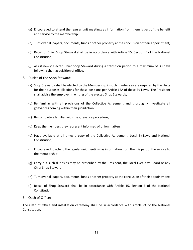- (g) Encouraged to attend the regular unit meetings as information from them is part of the benefit and service to the membership;
- (h) Turn over all papers, documents, funds or other property at the conclusion of their appointment;
- (i) Recall of Chief Shop Steward shall be in accordance with Article 15, Section E of the National Constitution;
- (j) Assist newly elected Chief Shop Steward during a transition period to a maximum of 30 days following their acquisition of office.
- 8. Duties of the Shop Steward:
	- (a) Shop Stewards shall be elected by the Membership in such numbers as are required by the Units for their purposes. Elections for these positions per Article 12A of these By-Laws. The President shall advise the employer in writing of the elected Shop Stewards;
	- (b) Be familiar with all provisions of the Collective Agreement and thoroughly investigate all grievances coming within their jurisdiction;
	- (c) Be completely familiar with the grievance procedure;
	- (d) Keep the members they represent informed of union matters;
	- (e) Have available at all times a copy of the Collective Agreement, Local By-Laws and National Constitution;
	- (f) Encouraged to attend the regular unit meetings as information from them is part of the service to the membership;
	- (g) Carry out such duties as may be prescribed by the President, the Local Executive Board or any Chief Shop Steward;
	- (h) Turn over all papers, documents, funds or other property at the conclusion of their appointment;
	- (i) Recall of Shop Steward shall be in accordance with Article 15, Section E of the National Constitution.
- 5. Oath of Office:

The Oath of Office and installation ceremony shall be in accordance with Article 24 of the National Constitution.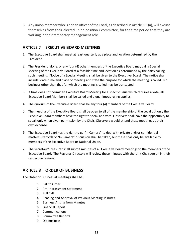6. Any union member who is not an officer of the Local, as described in Article 6.3 (a), will excuse themselves from their elected union position / committee, for the time period that they are working in their temporary management role.

# <span id="page-11-0"></span>**ARTICLE 7 EXECUTIVE BOARD MEETINGS**

- 1. The Executive Board shall meet at least quarterly at a place and location determined by the President.
- 2. The President, alone, or any four (4) other members of the Executive Board may call a Special Meeting of the Executive Board at a feasible time and location as determined by the party calling such meeting. Notice of a Special Meeting shall be given to the Executive Board. The notice shall include: date, time and place of meeting and state the purpose for which the meeting is called. No business other than that for which the meeting is called may be transacted.
- 3. If time does not permit an Executive Board Meeting for a specific issue which requires a vote, all Executive Board Members shall be called and a unanimous ruling applies.
- 4. The quorum of the Executive Board shall be any four (4) members of the Executive Board.
- 5. The meeting of the Executive Board shall be open to all of the membership of the Local but only the Executive Board members have the right to speak and vote. Observers shall have the opportunity to speak only when given permission by the Chair. Observers would attend these meetings at their own expense.
- 6. The Executive Board has the right to go "In Camera" to deal with private and/or confidential matters. Records of "In Camera" discussion shall be taken, but these shall only be available to members of the Executive Board or National Union.
- 7. The Secretary/Treasurer shall submit minutes of all Executive Board meetings to the members of the Executive Board. The Regional Directors will review these minutes with the Unit Chairperson in their respective regions.

## <span id="page-11-1"></span>**ARTICLE 8 ORDER OF BUSINESS**

The Order of Business at meetings shall be:

- 1. Call to Order
- 2. Anti-Harassment Statement
- 3. Roll Call
- 4. Reading and Approval of Previous Meeting Minutes
- 5. Business Arising from Minutes
- 6. Financial Report
- 7. Communications
- 8. Committee Reports
- 9. Old Business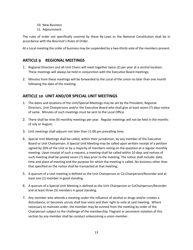- 10. New Business
- 11. Adjournment

The rules of order not specifically covered by these By-Laws or the National Constitution shall be in accordance with the Bourinot's Rules of Order.

At a Local meeting the order of business may be suspended by a two-thirds vote of the members present.

## <span id="page-12-0"></span>**ARTICLE 9 REGIONAL MEETINGS**

- 1. Regional Directors and all Unit Chairs will meet together twice (2) per year at a central location. These meetings will always be held in conjunction with the Executive Board meetings;
- 2. Minutes from these meetings will be forwarded to the Local of the union no later than one month following the date of the meeting.

## <span id="page-12-1"></span>**ARTICLE 10 UNIT AND/OR SPECIAL UNIT MEETINGS**

- 1. The dates and locations of the Unit/Special Meetings may be set by the President, Regional Directors, Unit Chairpersons and/or the Executive Board who shall give at least seven (7) days notice of same. Minutes of such meetings must be sent to the Local Office.
- 2. There shall be nine (9) monthly meetings per year. Regular meetings will not be held in the months of July or August;
- 3. Unit meetings shall adjourn not later than 11:00 pm prevailing time;
- 4. Special Unit Meetings shall be called, within their jurisdiction, by any member of the Executive Board or Unit Chairperson. A Special Unit Meeting may be called upon written receipt of a petition signed by 20% of the Unit or by a majority of members voting on the question at a regular monthly meeting. Upon receipt of such a request, a meeting shall be called within 10 days and notices of such meeting shall be posted seven (7) days prior to the meeting. The notice shall include: date, time and place of meeting and the purpose for which the meeting is called. No business other than that specified on the notice shall be transacted at that meeting;
- 5. A quorum of a Unit meeting is defined as the Unit Chairperson or Co-Chairperson/Recorder and at least one (1) member in good standing.
- 6. A quorum of a Special Unit Meeting is defined as the Unit Chairperson or CoChairperson/Recorder and at least three (3) members in good standing.
- 7. Any member who attends a meeting under the influence of alcohol or drugs and/or creates a disturbance, or becomes unruly shall lose voice and their right to vote at said meeting. Where necessary to maintain order, the member may be evicted from the meeting by order of the Chairperson subject to the challenge of the membership. Flagrant or persistent violation of this section by any member shall be conduct unbecoming a union member.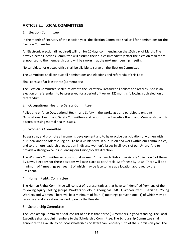# <span id="page-13-0"></span>**ARTICLE 11 LOCAL COMMITTEES**

#### 1. Election Committee

In the month of February of the election year, the Election Committee shall call for nominations for the Election Committee;

An Electronic election (if required) will run for 10 days commencing on the 15th day of March. The newly elected Elections Committee will assume their duties immediately after the election results are announced to the membership and will be sworn in at the next membership meeting.

No candidate for elected office shall be eligible to serve on the Election Committee;

The Committee shall conduct all nominations and elections and referenda of this Local;

Shall consist of at least three (3) members;

The Election Committee shall turn over to the Secretary/Treasurer all ballots and records used in an election or referendum to be preserved for a period of twelve (12) months following such election or referendum.

#### 2. Occupational Health & Safety Committee

Police and enforce Occupational Health and Safety in the workplace and participate on Joint Occupational Health and Safety Committees and report to the Executive Board and Membership and to discuss pressing mental health issues.

#### 3. Women's Committee

To assist in, and promote all women's development and to have active participation of women within our Local and the Atlantic Region. To be a visible force in our Union and work within our communities, and to promote leadership, education in diverse women's issues in all levels of our Union. And to provide a strong voice in influencing our Union/Local's direction.

The Women's Committee will consist of 4 women, 1 from each District per Article 1, Section 5 of these By-Laws. Elections for these positions will take place as per Article 12 of these By-Laws. There will be a minimum of 4 meetings per year, 1 of which may be face to face at a location approved by the President.

#### 4. Human Rights Committee

The Human Rights Committee will consist of representatives that have self-identified from any of the following equity seeking groups: Workers of Colour, Aboriginal, LGBTQ, Workers with Disabilities, Young Workers and Women. There will be a minimum of four (4) meetings per year, one (1) of which may be face-to-face at a location decided upon by the President.

#### 5. Scholarship Committee

The Scholarship Committee shall consist of no less than three (3) members in good standing. The Local Executive shall appoint members to the Scholarship Committee. The Scholarship Committee shall announce the availability of Local scholarships no later than February 15th of the submission year. The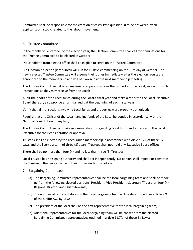Committee shall be responsible for the creation of essay-type question(s) to be answered by all applicants on a topic related to the labour movement.

#### 6. Trustee Committee

In the month of September of the election year, the Election Committee shall call for nominations for the Trustee Committee to be elected in October;

No candidate from elected office shall be eligible to serve on the Trustee Committee;

An Electronic election (if required) will run for 10 days commencing on the 15th day of October. The newly elected Trustee Committee will assume their duties immediately after the election results are announced to the membership and will be sworn in at the next membership meeting.

The Trustee Committee will exercise general supervision over the property of the Local, subject to such instructions as they may receive from the Local;

Audit the books of the Local twice during the Local's fiscal year and make a report to the Local Executive Board thereon, also provide an annual audit at the beginning of each fiscal year;

Verify that all transactions involving Local funds and properties were properly authorized;

Require that any Officer of the Local handling funds of the Local be bonded in accordance with the National Constitution or any law;

The Trustee Committee can make recommendations regarding Local funds and expenses to the Local Executive for their consideration or approval;

Trustees shall be elected by the Local Union membership in accordance with Article 12A of these By-Laws and shall serve a term of three (3) years. Trustees shall not hold any Executive Board office;

There shall be no more than four (4) and no less than three (3) Trustees;

Local Trustee has no signing authority and shall act independently. No person shall impede or constrain the Trustee in the performance of their duties under this article.

- 7. Bargaining Committee
	- (a) The Bargaining Committee representatives shall be the local bargaining team and shall be made up from the following elected positions: President, Vice-President, Secretary/Treasurer, four (4) Regional Director and Chief Stewards;
	- (b) The number of representatives on the Local bargaining team will be determined per article 9.9 of the Unifor ACL By-Laws;
	- (c) The president of the local shall be the first representative for the local bargaining team;
	- (d) Additional representatives for the local bargaining team will be chosen from the elected Bargaining Committee representatives outlined in article 11.7(a) of these By-Laws;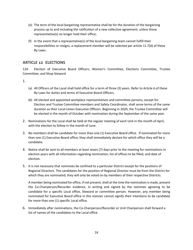- (e) The term of the local bargaining representative shall be for the duration of the bargaining process up to and including the ratification of a new collective agreement, unless those representative(s) no longer hold their office;
- (f) In the event that a representative(s) of the local bargaining team cannot fulfill their responsibilities or resigns, a replacement member will be selected per article 11.7(d) of these By-Laws.

## <span id="page-15-0"></span>**ARTICLE 12 ELECTIONS**

12A Election of Executive Board Officers, Women's Committee, Elections Committee, Trustee Committee, and Shop Steward

1.

- (a) All Officers of the Local shall hold office for a term of three (3) years. Refer to Article 6 of these By-Laws for duties and terms of Executive Board Officers.
- (b) All elected and appointed workplace representatives and committee persons; except for Election and Trustee Committee members and Safety Coordinator, shall serve terms of the same duration as their Local Union Executive Officers. Beginning in 2020, the Trustee Committee will be elected in the month of October with nomination during the September of the same year.
- 2. Nominations for the Local shall be held at the regular meeting of each Unit in the month of April, with the election to follow in the month of June.
- 3. No members shall be candidate for more than one (1) Executive Board office. If nominated for more than one (1) Executive Board office, they shall immediately declare for which office they will be a candidate.
- 4. Notice shall be sent to all members at least seven (7) days prior to the meeting for nominations in election years with all information regarding nomination, list of offices to be filled, and date of election.
- 5. It is not necessary that nominees be confined to a particular District except for the positions of Regional Directors. The candidates for the position of Regional Director must be from the District for which they are nominated; they will only be voted on by members of their respective Districts.

A member being nominated for office, if not present, shall at the time the nomination is made, present the Co-Chairperson/Recorder evidence, in writing and signed by the nominee agreeing to be candidate for a specific Local office, Steward or committee person. However, any member being nominated for Executive Board office in this manner cannot signify their intentions to be candidate for more than one (1) specific Local office.

6. Immediately after nominations, the Co-Chairperson/Recorder or Unit Chairperson shall forward a list of names of the candidates to the Local office.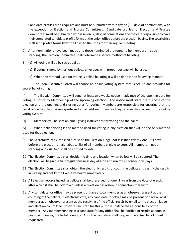Candidate profiles are a requisite and must be submitted within fifteen (15) days of nominations, with the exception of Election and Trustee Committees. Candidate profiles for Election and Trustee Committees must be submitted within seven (7) days of nominations and they are responsible to have their completed candidate profile forms at the union office before the election begins. The Local office shall send profile forms (website links) to the Units for their regular meeting.

- 7. After nominations have been made and those nominated are found to be members in good standing, the Election Committee shall determine a secure method of balloting.
- 8. (a) All voting will be by secret ballot.
	- (a) If voting is done by mail out ballots, envelopes with proper postage will be used.
	- (b) When the method used for voting is online balloting it will be done in the following manner:

i) The Local Executive Board will choose an online voting system that is secure and provides for secret ballot voting;

ii) The Election Committee will send, at least two weeks notice in advance of the opening date for voting, a Notice to Membership of the upcoming election. The notice must state the purpose of the election and the opening and closing dates for voting. Members are responsible for ensuring that the Local office has their current/preferred email address to ensure they receive their access to the online voting system;

iii) Members will be sent an email giving instructions for voting and the ballot;

iv) When online voting is the method used for voting in any election that will be the only method used for that election.

- 9. The Secretary/Treasurer shall furnish to the Election Judge, not less than twenty-one (21) days before the election, an alphabetical list of all members eligible to vote. All members in good standing and qualified shall be entitled to vote.
- 10. The Election Committee shall decide the time and location when ballots will be counted. The election will begin the first regular business day of June and run for 21 consecutive days.
- 11. The Election Committee shall obtain the electronic results or count the ballots and certify the results in writing and notify the Executive Board immediately.
- 12. All election records including ballots shall be preserved for one (1) year from the date of election, after which it shall be destroyed unless a question has arisen in connection therewith.
- 13. Any candidate for office may be present or have a Local member as an observer present at the counting of the ballots. If electronic vote, any candidate for office may be present or have a Local member as an observer present at the receiving of the official result by email to the election judge and election committee. Expenses incurred for this purpose shall be the responsibility of the member. Any member running as a candidate for any office shall be notified of results as soon as possible following the ballot counting. Also, the candidate shall be given the actual ballot count if requested.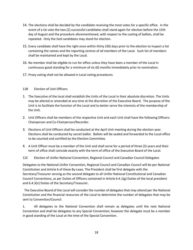- 14. The elections shall be decided by the candidate receiving the most votes for a specific office. In the event of a tie vote the two (2) successful candidates shall stand again for election before the 15th day of August and the procedure aforementioned, with respect to the casting of ballots, shall be repeated. Only the tied candidates may stand for election.
- 15. Every candidate shall have the right once within thirty (30) days prior to the election to inspect a list containing the names and the reporting centres of all members of the Local. Such list of members shall be maintained and kept by the Local.
- 16. No member shall be eligible to run for office unless they have been a member of the Local in continuous good standing for a minimum of six (6) months immediately prior to nomination.
- 17. Proxy voting shall not be allowed in Local voting procedures.

#### 12B Election of Unit Officers

- 1. The Executive of the local shall establish the Units of the Local in their absolute discretion. The Units may be altered or amended at any time at the discretion of the Executive Board. The purpose of the Unit is to facilitate the function of the Local and to better serve the interests of the membership of the Unit.
- 2. Unit Officers shall be members of the respective Unit and each Unit shall have the following Officers: Chairperson and Co-Chairperson/Recorder.
- 3. Elections of Unit Officers shall be conducted at the April Unit meeting during the election year. Elections shall be conducted by secret ballot. Ballots will be sealed and forwarded to the Local office to be counted and certified by the Election Committee.
- 4. A Unit Officer must be a member of the Unit and shall serve for a period of three (3) years and their term of office shall coincide exactly with the term of office of the Executive Board of the Local.
- 12C Election of Unifor National Convention, Regional Council and Canadian Council Delegates

Delegates to the National Unifor Convention, Regional Council and Canadian Council will be per National Constitution and Article 6 of these By-Laws. The President shall be first delegate with the Secretary/Treasurer serving as the second delegate to all Unifor National Constitutional and Canadian Council Conventions, as per Duties of Officers contained in Article 6.4.1(g) Duties of the local president and 6.4.3(n) Duties of the Secretary/Treasurer.

The Executive Board of the Local will consider the number of delegates that may attend per the National Constitution and the financial resources of the Local to determine the number of delegates that may be sent to Convention/Council.

1. All delegates to the National Convention shall remain as delegates until the next National Convention and shall be delegates to any Special Convention; however the delegate must be a member in good standing of the Local at the time of the Special Convention.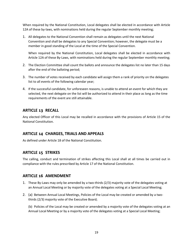When required by the National Constitution, Local delegates shall be elected in accordance with Article 12A of these by-laws, with nominations held during the regular September monthly meeting;

1. All delegates to the National Convention shall remain as delegates until the next National Convention and shall be delegates to any Special Convention; however, the delegate must be a member in good standing of the Local at the time of the Special Convention.

When required by the National Constitution, Local delegates shall be elected in accordance with Article 12A of these By-Laws, with nominations held during the regular September monthly meeting;

- 2. The Election Committee shall count the ballots and announce the delegates list no later than 15 days after the end of the balloting period;
- 3. The number of votes received by each candidate will assign them a rank of priority on the delegates list to all events of the following calendar year;
- 4. If the successful candidate, for unforeseen reasons, is unable to attend an event for which they are selected, the next delegate on the list will be authorized to attend in their place as long as the time requirements of the event are still attainable.

## <span id="page-18-0"></span>**ARTICLE 13 RECALL**

Any elected Officer of this Local may be recalled in accordance with the provisions of Article 15 of the National Constitution.

## <span id="page-18-1"></span>**ARTICLE 14 CHARGES, TRIALS AND APPEALS**

As defined under Article 18 of the National Constitution.

## <span id="page-18-2"></span>**ARTICLE 15 STRIKES**

The calling, conduct and termination of strikes affecting this Local shall at all times be carried out in compliance with the rules prescribed by Article 17 of the National Constitution.

### <span id="page-18-3"></span>**ARTICLE 16 AMENDMENT**

- 1. These By-Laws may only be amended by a two-thirds (2/3) majority vote of the delegates voting at an Annual Local Meeting or by majority vote of the delegates voting at a Special Local Meeting;
- 2. (a) Between Annual Local Meetings, Policies of the Local may be created or amended by a twothirds (2/3) majority vote of the Executive Board;

(b) Policies of the Local may be created or amended by a majority vote of the delegates voting at an Annual Local Meeting or by a majority vote of the delegates voting at a Special Local Meeting;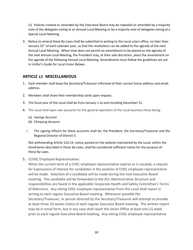(c) Policies created or amended by the Executive Board may be repealed or amended by a majority vote of the delegates voting at an Annual Local Meeting or by a majority vote of delegates voting at a Special Local Meeting.

3. Notice to amend these By-Laws shall be submitted in writing to the Local union office, no later than January 31<sup>st</sup> of each calendar year, so that the resolutions can be added to the agenda of the next Annual Local Meeting. When time does not permit an amendment to be placed on the agenda of the next Annual Local Meeting, the President may, at their sole discretion, place the amendment on the agenda of the following Annual Local Meeting. Amendments must follow the guidelines set out in Unifor's Guide for Local Union Bylaws.

# <span id="page-19-0"></span>**ARTICLE 17 MISCELLANEOUS**

- 1. Each member shall keep the Secretary/Treasurer informed of their correct home address and email address.
- 2. Members shall show their membership cards upon request.
- 3. The fiscal year of the Local shall be from January 1 to and including December 31.
- 4. The Local shall open two accounts for the general operation of the Local business those being:
	- (a) Savings Account
	- (b) Chequing Account
	- i. The signing officers for these accounts shall be: the President, the Secretary/Treasurer and the Regional Director of District 3.

Not withstanding Article 12A.14, notice posted on the website maintained by the Local, within the timeframes described in these By-Laws, shall be considered sufficient notice for the purpose of these By-Laws.

5. CCHSC Employee Representative:

When the current term of a CHSC employee representative expires or is vacated, a request for Expressions of Interest for candidates in the position of CHSC employee representative will be made. Selection of a candidate will be made during the next Executive Board meeting. The candidate will be forwarded to the ACL Administrative Structure and responsibilities are found in the applicable Corporate Health and Safety Committee's Terms of Reference. Any sitting CHSC employee representative from this Local shall report in writing to each regular Executive Board meeting. Whenever possible the Secretary/Treasurer, or person directed by the Secretary/Treasurer will attempt to provide at least three (3) weeks notice of each regular Executive Board meeting. The written report may be in email form, but in any case shall reach the Union Office at least one (1) week prior to each regular Executive Board meeting. Any sitting CHSC employee representative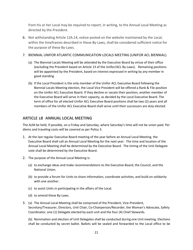from his or her Local may be required to report, in writing, to the Annual Local Meeting as directed by the President.

6. Not withstanding Article 12A.14, notice posted on the website maintained by the Local, within the timeframes described in these By-Laws, shall be considered sufficient notice for the purpose of these By-Laws.

#### 7. BIENNIAL UNIFOR ATLANTIC COMMUNICATION LOCALS MEETING (UNIFOR ACL BIENNIAL)

- (a) The Biennial Locals Meeting will be attended by the Executive Board by virtue of their office (excluding the President based on Article 13 of the Unifor/ACL By-Laws). Remaining positions will be appointed by the President, based on interest expressed in writing by any member in good standing
- (b) If the Local President is the only member of the Unifor ACL Executive Board following the Biennial Locals Meeting election, the Local Vice President will be offered a Rank & File position on the Unifor ACL Executive Board. If they decline or vacate their position, another member of the Executive Board will serve in their capacity, as decided by the Local Executive Board. The term of office for all elected Unifor ACL Executive Board positions shall be two (2) years and all members of the Unifor ACL Executive Board shall serve until their successors are duly elected.

## <span id="page-20-0"></span>**ARTICLE 18 ANNUAL LOCAL MEETING**

The ALM be held, if possible, on a Friday and Saturday, where Saturday's time will not be union paid. Per diems and traveling costs will be covered as per Policy 3.

- 1. At the last regular Executive Board meeting of the year before an Annual Local Meeting. the Executive Board shall call an Annual Local Meeting for the next year. The time and location of the Annual Local Meeting shall be determined by the Executive Board. The timing of the Unit Delegate vote shall be determined by the Executive Board.
- 2. The purpose of the Annual Local Meeting is:
	- (a) to exchange ideas and make recommendations to the Executive Board, the Council, and the National Union.
	- (b) to provide a forum for Units to share information, coordinate activities, and build on solidarity with one another.
	- (c) to assist Units in participating in the affairs of the Local.
	- (d) to amend these By-Laws.
- 3. (a) The Annual Local Meeting shall be comprised of the President, Vice-President, Secretary/Treasurer, Directors, Unit Chair, Co-Chairperson/Recorder, the Woman's Advocate, Safety Coordinator, one (1) Delegate elected by each unit and the four (4) Chief Stewards.

(b) Nomination and election of Unit Delegates shall be conducted during one Unit meeting. Elections shall be conducted by secret ballot. Ballots will be sealed and forwarded to the Local office to be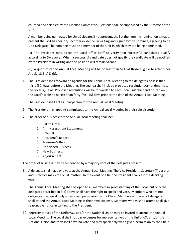counted and certified by the Election Committee. Elections shall be supervised by the Director of the Unit.

A member being nominated for Unit Delegate, if not present, shall at the time the nomination is made, present the Co-Chairperson/Recorder evidence, in writing and signed by the nominee, agreeing to be Unit Delegate. The nominee must be a member of the Unit in which they are being nominated.

(c) The President may direct the Local office staff to verify that successful candidates qualify according to (b) above. When a successful candidate does not qualify the candidate will be notified by the President in writing and the position will remain vacant.

(d) A quorum of the Annual Local Meeting will be no less than 51% of those eligible to attend per Article 18.3(a) & (b).

- 4. The President shall forward an agenda for the Annual Local Meeting to the delegates no less than thirty (30) days before the Meeting. The agenda shall include proposed resolutions/amendments to the Local By-Laws. Proposed resolutions will be forwarded to each Local unit chair and posted on the Local's website no less than forty-five (45) days prior to the date of the Annual Local Meeting.
- 5. The President shall act as Chairperson for the Annual Local Meeting.
- 6. The President may appoint committees to the Annual Local Meeting in their sole discretion.
- 7. The order of business for the Annual Local Meeting shall be:
	- 1. Call to Order.
	- 2. Anti-Harassment Statement.
	- 3. Role Call.
	- 4. President's Report.
	- 5. Treasurer's Report.
	- 6. Unfinished Business.
	- 7. New Business.
	- 8. Adjournment.

The order of business may be suspended by a majority vote of the delegates present.

- 8. A delegate shall have one vote at the Annual Local Meeting. The Vice President, Secretary/Treasurer and Directors may vote on all matters. In the event of a tie, the President shall cast the deciding vote.
- 9. The Annual Local Meeting shall be open to all members in good standing of the Local, but only the delegates described in 3(a) above shall have the right to speak and vote. Members who are not delegates may speak only when given permission by the Chair. Members who are not delegates shall attend the Annual Local Meeting at their own expense. Members who wish to attend shall give reasonable notice in writing to the President.
- 10. Representatives of the UniforACL and/or the National Union may be invited to attend the Annual Local Meeting. The Local shall not pay expenses for representatives of the UniforACL and/or the National Union and they shall have no vote and may speak only when given permission by the Chair.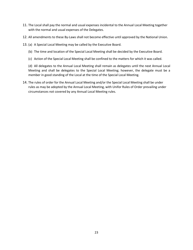- 11. The Local shall pay the normal and usual expenses incidental to the Annual Local Meeting together with the normal and usual expenses of the Delegates.
- 12. All amendments to these By-Laws shall not become effective until approved by the National Union.
- 13. (a) A Special Local Meeting may be called by the Executive Board.
	- (b) The time and location of the Special Local Meeting shall be decided by the Executive Board.
	- (c) Action of the Special Local Meeting shall be confined to the matters for which it was called.

(d) All delegates to the Annual Local Meeting shall remain as delegates until the next Annual Local Meeting and shall be delegates to the Special Local Meeting; however, the delegate must be a member in good standing of the Local at the time of the Special Local Meeting.

14. The rules of order for the Annual Local Meeting and/or the Special Local Meeting shall be under rules as may be adopted by the Annual Local Meeting, with Unifor Rules of Order prevailing under circumstances not covered by any Annual Local Meeting rules.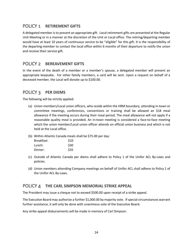# <span id="page-23-0"></span>POLICY 1 **RETIREMENT GIFTS**

A delegated member is to present an appropriate gift. Local retirement gifts are presented at the Regular Unit Meeting or in a manner at the discretion of the Unit or Local office. The retiring/departing member would have at least 10 years of continuous service to be "eligible" for this gift. It is the responsibility of the departing member to contact the local office within 6 months of their departure to notify the union and receive their service gift.

# <span id="page-23-1"></span>POLICY 2 **BEREAVEMENT GIFTS**

In the event of the death of a member or a member's spouse, a delegated member will present an appropriate keepsake. For other family members, a card will be sent. Upon a request on behalf of a deceased member, the Local will donate up to \$100.00.

# <span id="page-23-2"></span>POLICY 3 **PER DIEMS**

The following will be strictly applied:

- (a) Union members/Local union officers, who reside within the HRM boundary, attending in-town or committee meetings, conferences, conventions or training shall be allowed an \$18 meal allowance if the meeting occurs during their meal period. The meal allowance will not apply if a reasonable quality meal is provided. An in-town meeting is considered a face-to-face meeting which the union member/Local union officer attends on official union business and which is not held at the Local office.
- (b) Within Atlantic Canada meals shall be \$75.00 per day:

| Breakfast: | \$10 |
|------------|------|
| Lunch:     | \$30 |
| Dinner:    | \$35 |

- (c) Outside of Atlantic Canada per diems shall adhere to Policy 1 of the Unifor ACL By-Laws and policies.
- (d) Union members attending Company meetings on behalf of Unifor ACL shall adhere to Policy 1 of the Unifor ACL By-Laws.

## <span id="page-23-3"></span>POLICY 4 **THE CARL SIMPSON MEMORIAL STRIKE APPEAL**

The President may issue a cheque not to exceed \$500.00 upon receipt of a strike appeal.

The Executive Board may authorize a further \$1,000.00 by majority vote. If special circumstances warrant further assistance, it will only be done with unanimous vote of the Executive Board.

Any strike appeal disbursements will be made in memory of Carl Simpson.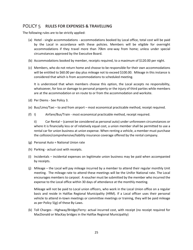# <span id="page-24-0"></span>POLICY 5 **RULES FOR EXPENSES & TRAVELLING**

The following rules are to be strictly applied:

- (a) Hotel single accommodations accommodations booked by Local office, total cost will be paid by the Local in accordance with these policies. Members will be eligible for overnight accommodations if they travel more than 70km one-way from home; unless under special circumstances approved by the Executive Board.
- (b) Accommodations booked by member, receipts required, to a maximum of \$120.00 per night.
- (c) Members, who do not return home and choose to be responsible for their own accommodations will be entitled to \$60.00 per day plus mileage not to exceed \$100.00. Mileage in this instance is considered that which is from accommodations to scheduled meeting.

It is understood that when members choose this option, the Local accepts no responsibility, whatsoever, for loss or damage to personal property or the injury of third parties while members are at the accommodation or en route to or from the accommodation and worksite.

- (d) Per Diems See Policy 3.
- (e) Bus/Limo/Taxi to and from airport most economical practicable method, receipt required.
- (f) I) Airfare/Bus/Train most economical practicable method, receipt required.

ii) Car Rental – (cannot be considered as personal auto) under unforeseen circumstances or where it is financially less or of relatively equal cost, a union member shall be permitted to use a rental car for union business at union expense. When renting a vehicle, a member must purchase the collision/comprehensive/liability insurance coverage offered by the rental company.

- (g) Personal Auto = National Union rate
- (h) Parking actual cost with receipts.
- (i) Incidentals incidental expenses on legitimate union business may be paid when accompanied by receipts.
- (j) Mileage the Local will pay mileage incurred by a member to attend their regular monthly Unit meeting. The mileage rate to attend these meetings will be the Unifor National rate. The Local encourages members to carpool. A voucher must be submitted by the member who incurred the expense to the Local office within 30 days of attendance at the monthly meeting.

Mileage will not be paid to Local union officers, who work in the Local Union office on a regular basis and reside in Halifax Regional Municipality (HRM). If a Local officer uses their personal vehicle to attend in-town meetings or committee meetings or training, they will be paid mileage as per Policy 5(g) of these By-Laws.

(k) Toll Charges - Highway/Bridge/Ferry: actual incurred cost, with receipt (no receipt required for MacDonald or MacKay bridges in the Halifax Regional Municipality)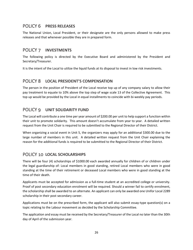# <span id="page-25-0"></span>POLICY 6 **PRESS RELEASES**

The National Union, Local President, or their designate are the only persons allowed to make press releases and that whenever possible they are in prepared form.

# <span id="page-25-1"></span>POLICY 7 **INVESTMENTS**

The following policy is directed by the Executive Board and administered by the President and Secretary/Treasurer.

It is the intent of the Local to utilize the liquid funds at its disposal to invest in low risk investments.

# <span id="page-25-2"></span>POLICY 8 **LOCAL PRESIDENT'S COMPENSATION**

The person in the position of President of the Local receive top up of any company salary to allow their pay treatment to equate to 10% above the top step of wage scale 13 of the Collective Agreement. This top up would be provided by the Local in equal installments to coincide with bi-weekly pay periods.

# <span id="page-25-3"></span>POLICY 9 **UNIT SOLIDARITY FUND**

The Local will contribute a one time per year amount of \$200.00 per unit to help support a function within their unit to promote solidarity. This amount doesn't accumulate from year to year. A detailed written request from the Unit Chair is required to be submitted to the Regional Director of their District.

When organizing a social event in Unit 5, the organizers may apply for an additional \$300.00 due to the large number of members in this unit. A detailed written request from the Unit Chair explaining the reason for the additional funds is required to be submitted to the Regional Director of their District.

# <span id="page-25-4"></span>POLICY 10 **LOCAL SCHOLARSHIPS**

There will be four (4) scholarships of \$1000.00 each awarded annually for children of or children under the legal guardianship of: Local members in good standing, retired Local members who were in good standing at the time of their retirement or deceased Local members who were in good standing at the time of their death.

Applicants must be accepted for admission as a full-time student at an accredited college or university. Proof of post secondary education enrolment will be required. Should a winner fail to certify enrolment, the scholarship shall be awarded to an alternate. An applicant can only be awarded one Unifor Local 2289 scholarship in their post secondary career.

Applications must be on the prescribed form, the applicant will also submit essay-type question(s) on a topic relating to the Labour movement as decided by the Scholarship Committee.

The application and essay must be received by the Secretary/Treasurer of the Local no later than the 30th day of April of the submission year.